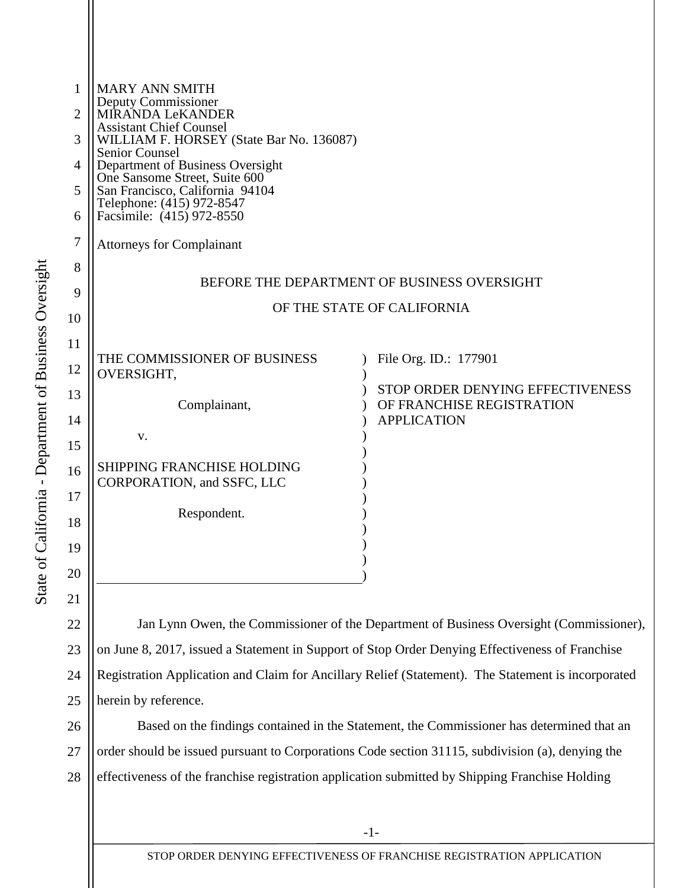| 1  | <b>MARY ANN SMITH</b>                                                                           |                                                                                         |
|----|-------------------------------------------------------------------------------------------------|-----------------------------------------------------------------------------------------|
| 2  | Deputy Commissioner<br>MÍRANDA LeKANDER                                                         |                                                                                         |
| 3  | <b>Assistant Chief Counsel</b><br>WILLIAM F. HORSEY (State Bar No. 136087)<br>Senior Counsel    |                                                                                         |
| 4  | Department of Business Oversight<br>One Sansome Street, Suite 600                               |                                                                                         |
| 5  | San Francisco, California 94104<br>Telephone: (415) 972-8547                                    |                                                                                         |
| 6  | Facsimile: (415) 972-8550                                                                       |                                                                                         |
| 7  | <b>Attorneys for Complainant</b>                                                                |                                                                                         |
| 8  |                                                                                                 | BEFORE THE DEPARTMENT OF BUSINESS OVERSIGHT                                             |
| 9  |                                                                                                 | OF THE STATE OF CALIFORNIA                                                              |
| 10 |                                                                                                 |                                                                                         |
| 11 |                                                                                                 |                                                                                         |
| 12 | THE COMMISSIONER OF BUSINESS<br>OVERSIGHT,                                                      | File Org. ID.: 177901                                                                   |
| 13 | Complainant,                                                                                    | STOP ORDER DENYING EFFECTIVENESS<br>OF FRANCHISE REGISTRATION                           |
| 14 |                                                                                                 | <b>APPLICATION</b>                                                                      |
| 15 | V.                                                                                              |                                                                                         |
| 16 | <b>SHIPPING FRANCHISE HOLDING</b><br>CORPORATION, and SSFC, LLC                                 |                                                                                         |
| 17 |                                                                                                 |                                                                                         |
| 18 | Respondent.                                                                                     |                                                                                         |
| 19 |                                                                                                 |                                                                                         |
| 20 |                                                                                                 |                                                                                         |
| 21 |                                                                                                 |                                                                                         |
| 22 |                                                                                                 | Jan Lynn Owen, the Commissioner of the Department of Business Oversight (Commissioner), |
| 23 | on June 8, 2017, issued a Statement in Support of Stop Order Denying Effectiveness of Franchise |                                                                                         |
|    |                                                                                                 |                                                                                         |

24 25 Registration Application and Claim for Ancillary Relief (Statement). The Statement is incorporated herein by reference.

26 27 28 Based on the findings contained in the Statement, the Commissioner has determined that an order should be issued pursuant to Corporations Code section 31115, subdivision (a), denying the effectiveness of the franchise registration application submitted by Shipping Franchise Holding